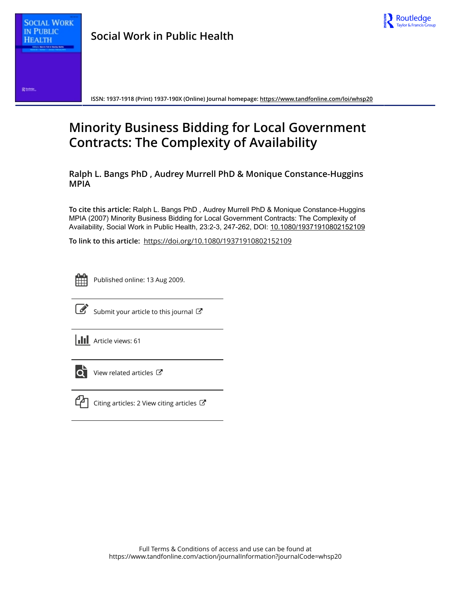

Rums.

**ISSN: 1937-1918 (Print) 1937-190X (Online) Journal homepage: <https://www.tandfonline.com/loi/whsp20>**

# **Minority Business Bidding for Local Government Contracts: The Complexity of Availability**

**Ralph L. Bangs PhD , Audrey Murrell PhD & Monique Constance-Huggins MPIA**

**To cite this article:** Ralph L. Bangs PhD , Audrey Murrell PhD & Monique Constance-Huggins MPIA (2007) Minority Business Bidding for Local Government Contracts: The Complexity of Availability, Social Work in Public Health, 23:2-3, 247-262, DOI: [10.1080/19371910802152109](https://www.tandfonline.com/action/showCitFormats?doi=10.1080/19371910802152109)

**To link to this article:** <https://doi.org/10.1080/19371910802152109>



Published online: 13 Aug 2009.



[Submit your article to this journal](https://www.tandfonline.com/action/authorSubmission?journalCode=whsp20&show=instructions)  $\mathbb{C}$ 

**Article views: 61** 



 $\overrightarrow{Q}$  [View related articles](https://www.tandfonline.com/doi/mlt/10.1080/19371910802152109)  $\overrightarrow{C}$ 



 $\mathbb{C}$  [Citing articles: 2 View citing articles](https://www.tandfonline.com/doi/citedby/10.1080/19371910802152109#tabModule)  $\mathbb{C}$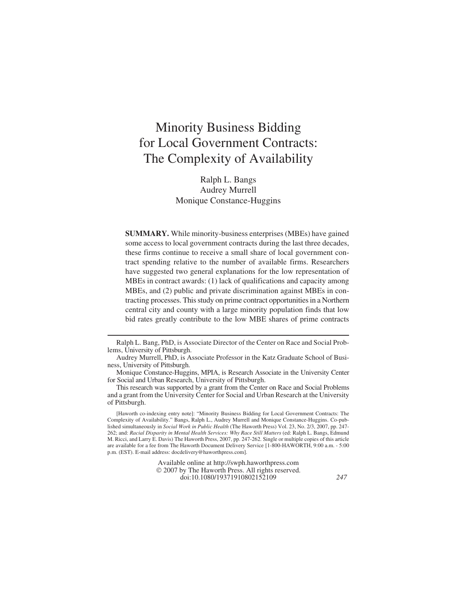# Minority Business Bidding for Local Government Contracts: The Complexity of Availability

Ralph L. Bangs Audrey Murrell Monique Constance-Huggins

**SUMMARY.** While minority-business enterprises (MBEs) have gained some access to local government contracts during the last three decades, these firms continue to receive a small share of local government contract spending relative to the number of available firms. Researchers have suggested two general explanations for the low representation of MBEs in contract awards: (1) lack of qualifications and capacity among MBEs, and (2) public and private discrimination against MBEs in contracting processes. This study on prime contract opportunities in a Northern central city and county with a large minority population finds that low bid rates greatly contribute to the low MBE shares of prime contracts

Available online at http://swph.haworthpress.com © 2007 by The Haworth Press. All rights reserved. doi:10.1080/19371910802152109 *247*

Ralph L. Bang, PhD, is Associate Director of the Center on Race and Social Problems, University of Pittsburgh.

Audrey Murrell, PhD, is Associate Professor in the Katz Graduate School of Business, University of Pittsburgh.

Monique Constance-Huggins, MPIA, is Research Associate in the University Center for Social and Urban Research, University of Pittsburgh.

This research was supported by a grant from the Center on Race and Social Problems and a grant from the University Center for Social and Urban Research at the University of Pittsburgh.

<sup>[</sup>Haworth co-indexing entry note]: "Minority Business Bidding for Local Government Contracts: The Complexity of Availability." Bangs, Ralph L., Audrey Murrell and Monique Constance-Huggins. Co-published simultaneously in *Social Work in Public Health* (The Haworth Press) Vol. 23, No. 2/3, 2007, pp. 247- 262; and: *Racial Disparity in Mental Health Services: Why Race Still Matters* (ed: Ralph L. Bangs, Edmund M. Ricci, and Larry E. Davis) The Haworth Press, 2007, pp. 247-262. Single or multiple copies of this article are available for a fee from The Haworth Document Delivery Service [1-800-HAWORTH, 9:00 a.m. - 5:00 p.m. (EST). E-mail address: docdelivery@haworthpress.com].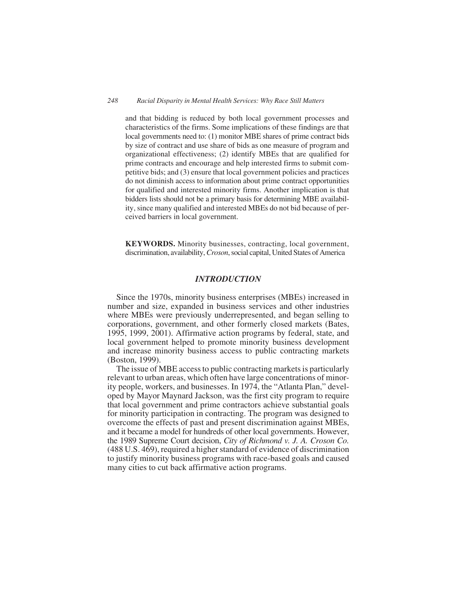and that bidding is reduced by both local government processes and characteristics of the firms. Some implications of these findings are that local governments need to: (1) monitor MBE shares of prime contract bids by size of contract and use share of bids as one measure of program and organizational effectiveness; (2) identify MBEs that are qualified for prime contracts and encourage and help interested firms to submit competitive bids; and (3) ensure that local government policies and practices do not diminish access to information about prime contract opportunities for qualified and interested minority firms. Another implication is that bidders lists should not be a primary basis for determining MBE availability, since many qualified and interested MBEs do not bid because of perceived barriers in local government.

**KEYWORDS.** Minority businesses, contracting, local government, discrimination, availability,*Croson*, social capital, United States of America

## *INTRODUCTION*

Since the 1970s, minority business enterprises (MBEs) increased in number and size, expanded in business services and other industries where MBEs were previously underrepresented, and began selling to corporations, government, and other formerly closed markets (Bates, 1995, 1999, 2001). Affirmative action programs by federal, state, and local government helped to promote minority business development and increase minority business access to public contracting markets (Boston, 1999).

The issue of MBE access to public contracting markets is particularly relevant to urban areas, which often have large concentrations of minority people, workers, and businesses. In 1974, the "Atlanta Plan," developed by Mayor Maynard Jackson, was the first city program to require that local government and prime contractors achieve substantial goals for minority participation in contracting. The program was designed to overcome the effects of past and present discrimination against MBEs, and it became a model for hundreds of other local governments. However, the 1989 Supreme Court decision, *City of Richmond v. J. A. Croson Co.* (488 U.S. 469), required a higher standard of evidence of discrimination to justify minority business programs with race-based goals and caused many cities to cut back affirmative action programs.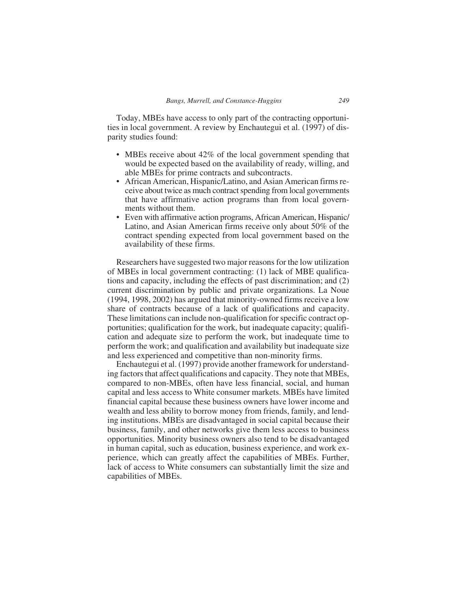Today, MBEs have access to only part of the contracting opportunities in local government. A review by Enchautegui et al. (1997) of disparity studies found:

- MBEs receive about 42% of the local government spending that would be expected based on the availability of ready, willing, and able MBEs for prime contracts and subcontracts.
- African American, Hispanic/Latino, and Asian American firms receive about twice as much contract spending from local governments that have affirmative action programs than from local governments without them.
- Even with affirmative action programs, African American, Hispanic/ Latino, and Asian American firms receive only about 50% of the contract spending expected from local government based on the availability of these firms.

Researchers have suggested two major reasons for the low utilization of MBEs in local government contracting: (1) lack of MBE qualifications and capacity, including the effects of past discrimination; and (2) current discrimination by public and private organizations. La Noue (1994, 1998, 2002) has argued that minority-owned firms receive a low share of contracts because of a lack of qualifications and capacity. These limitations can include non-qualification for specific contract opportunities; qualification for the work, but inadequate capacity; qualification and adequate size to perform the work, but inadequate time to perform the work; and qualification and availability but inadequate size and less experienced and competitive than non-minority firms.

Enchautegui et al. (1997) provide another framework for understanding factors that affect qualifications and capacity. They note that MBEs, compared to non-MBEs, often have less financial, social, and human capital and less access to White consumer markets. MBEs have limited financial capital because these business owners have lower income and wealth and less ability to borrow money from friends, family, and lending institutions. MBEs are disadvantaged in social capital because their business, family, and other networks give them less access to business opportunities. Minority business owners also tend to be disadvantaged in human capital, such as education, business experience, and work experience, which can greatly affect the capabilities of MBEs. Further, lack of access to White consumers can substantially limit the size and capabilities of MBEs.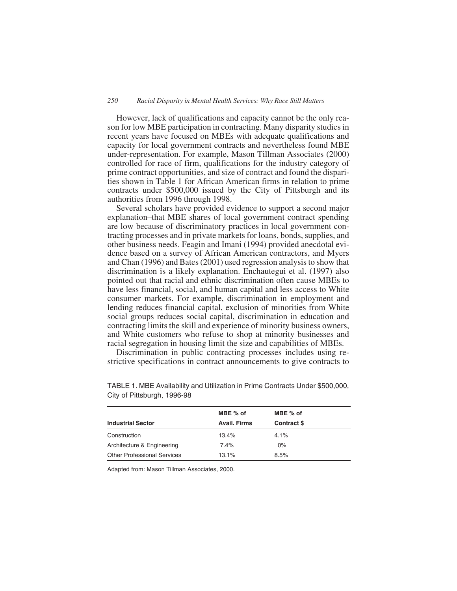However, lack of qualifications and capacity cannot be the only reason for low MBE participation in contracting. Many disparity studies in recent years have focused on MBEs with adequate qualifications and capacity for local government contracts and nevertheless found MBE under-representation. For example, Mason Tillman Associates (2000) controlled for race of firm, qualifications for the industry category of prime contract opportunities, and size of contract and found the disparities shown in Table 1 for African American firms in relation to prime contracts under \$500,000 issued by the City of Pittsburgh and its authorities from 1996 through 1998.

Several scholars have provided evidence to support a second major explanation–that MBE shares of local government contract spending are low because of discriminatory practices in local government contracting processes and in private markets for loans, bonds, supplies, and other business needs. Feagin and Imani (1994) provided anecdotal evidence based on a survey of African American contractors, and Myers and Chan (1996) and Bates (2001) used regression analysis to show that discrimination is a likely explanation. Enchautegui et al. (1997) also pointed out that racial and ethnic discrimination often cause MBEs to have less financial, social, and human capital and less access to White consumer markets. For example, discrimination in employment and lending reduces financial capital, exclusion of minorities from White social groups reduces social capital, discrimination in education and contracting limits the skill and experience of minority business owners, and White customers who refuse to shop at minority businesses and racial segregation in housing limit the size and capabilities of MBEs.

Discrimination in public contracting processes includes using restrictive specifications in contract announcements to give contracts to

|                                    | MBE % of            | MBE % of           |  |
|------------------------------------|---------------------|--------------------|--|
| <b>Industrial Sector</b>           | <b>Avail. Firms</b> | <b>Contract \$</b> |  |
| Construction                       | 13.4%               | 4.1%               |  |
| Architecture & Engineering         | 7.4%                | $0\%$              |  |
| <b>Other Professional Services</b> | 13.1%               | 8.5%               |  |

TABLE 1. MBE Availability and Utilization in Prime Contracts Under \$500,000, City of Pittsburgh, 1996-98

Adapted from: Mason Tillman Associates, 2000.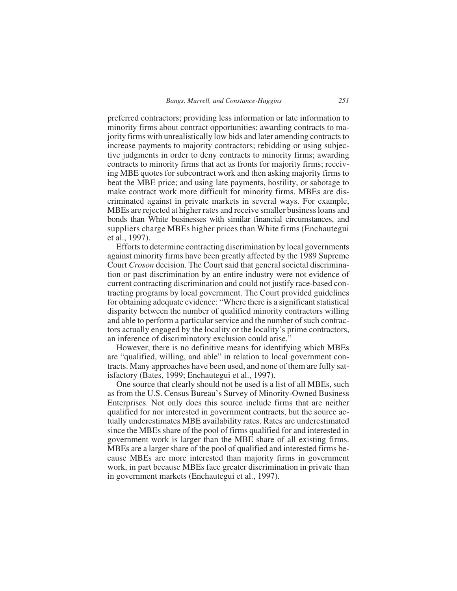preferred contractors; providing less information or late information to minority firms about contract opportunities; awarding contracts to majority firms with unrealistically low bids and later amending contracts to increase payments to majority contractors; rebidding or using subjective judgments in order to deny contracts to minority firms; awarding contracts to minority firms that act as fronts for majority firms; receiving MBE quotes for subcontract work and then asking majority firms to beat the MBE price; and using late payments, hostility, or sabotage to make contract work more difficult for minority firms. MBEs are discriminated against in private markets in several ways. For example, MBEs are rejected at higher rates and receive smaller business loans and bonds than White businesses with similar financial circumstances, and suppliers charge MBEs higher prices than White firms (Enchautegui et al., 1997).

Efforts to determine contracting discrimination by local governments against minority firms have been greatly affected by the 1989 Supreme Court *Croson* decision. The Court said that general societal discrimination or past discrimination by an entire industry were not evidence of current contracting discrimination and could not justify race-based contracting programs by local government. The Court provided guidelines for obtaining adequate evidence: "Where there is a significant statistical disparity between the number of qualified minority contractors willing and able to perform a particular service and the number of such contractors actually engaged by the locality or the locality's prime contractors, an inference of discriminatory exclusion could arise."

However, there is no definitive means for identifying which MBEs are "qualified, willing, and able" in relation to local government contracts. Many approaches have been used, and none of them are fully satisfactory (Bates, 1999; Enchautegui et al., 1997).

One source that clearly should not be used is a list of all MBEs, such as from the U.S. Census Bureau's Survey of Minority-Owned Business Enterprises. Not only does this source include firms that are neither qualified for nor interested in government contracts, but the source actually underestimates MBE availability rates. Rates are underestimated since the MBEs share of the pool of firms qualified for and interested in government work is larger than the MBE share of all existing firms. MBEs are a larger share of the pool of qualified and interested firms because MBEs are more interested than majority firms in government work, in part because MBEs face greater discrimination in private than in government markets (Enchautegui et al., 1997).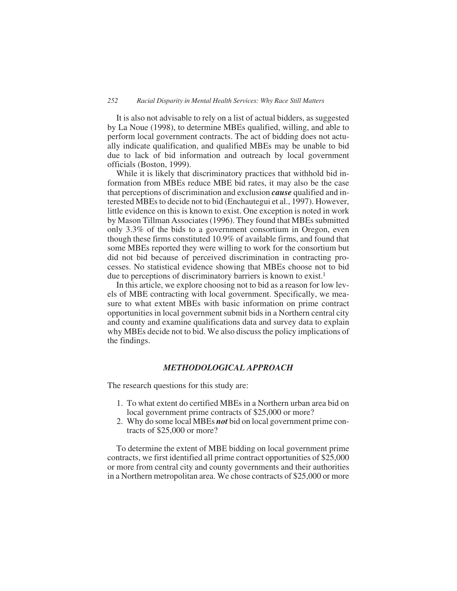It is also not advisable to rely on a list of actual bidders, as suggested by La Noue (1998), to determine MBEs qualified, willing, and able to perform local government contracts. The act of bidding does not actually indicate qualification, and qualified MBEs may be unable to bid due to lack of bid information and outreach by local government officials (Boston, 1999).

While it is likely that discriminatory practices that withhold bid information from MBEs reduce MBE bid rates, it may also be the case that perceptions of discrimination and exclusion *cause* qualified and interested MBEs to decide not to bid (Enchautegui et al., 1997). However, little evidence on this is known to exist. One exception is noted in work by Mason Tillman Associates (1996). They found that MBEs submitted only 3.3% of the bids to a government consortium in Oregon, even though these firms constituted 10.9% of available firms, and found that some MBEs reported they were willing to work for the consortium but did not bid because of perceived discrimination in contracting processes. No statistical evidence showing that MBEs choose not to bid due to perceptions of discriminatory barriers is known to exist.<sup>1</sup>

In this article, we explore choosing not to bid as a reason for low levels of MBE contracting with local government. Specifically, we measure to what extent MBEs with basic information on prime contract opportunities in local government submit bids in a Northern central city and county and examine qualifications data and survey data to explain why MBEs decide not to bid. We also discuss the policy implications of the findings.

# *METHODOLOGICAL APPROACH*

The research questions for this study are:

- 1. To what extent do certified MBEs in a Northern urban area bid on local government prime contracts of \$25,000 or more?
- 2. Why do some local MBEs *not* bid on local government prime contracts of \$25,000 or more?

To determine the extent of MBE bidding on local government prime contracts, we first identified all prime contract opportunities of \$25,000 or more from central city and county governments and their authorities in a Northern metropolitan area. We chose contracts of \$25,000 or more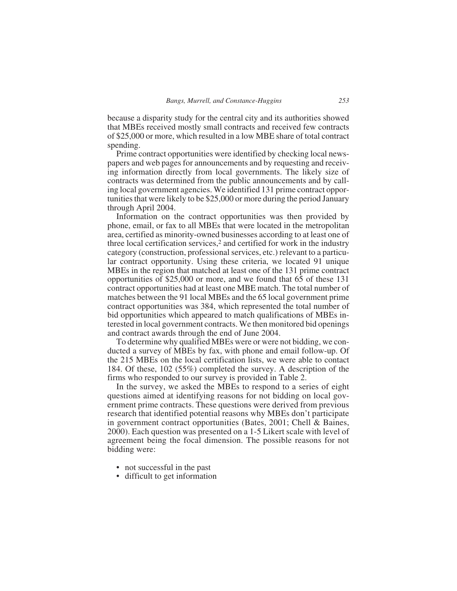because a disparity study for the central city and its authorities showed that MBEs received mostly small contracts and received few contracts of \$25,000 or more, which resulted in a low MBE share of total contract spending.

Prime contract opportunities were identified by checking local newspapers and web pages for announcements and by requesting and receiving information directly from local governments. The likely size of contracts was determined from the public announcements and by calling local government agencies. We identified 131 prime contract opportunities that were likely to be \$25,000 or more during the period January through April 2004.

Information on the contract opportunities was then provided by phone, email, or fax to all MBEs that were located in the metropolitan area, certified as minority-owned businesses according to at least one of three local certification services,<sup>2</sup> and certified for work in the industry category (construction, professional services, etc.) relevant to a particular contract opportunity. Using these criteria, we located 91 unique MBEs in the region that matched at least one of the 131 prime contract opportunities of \$25,000 or more, and we found that 65 of these 131 contract opportunities had at least one MBE match. The total number of matches between the 91 local MBEs and the 65 local government prime contract opportunities was 384, which represented the total number of bid opportunities which appeared to match qualifications of MBEs interested in local government contracts. We then monitored bid openings and contract awards through the end of June 2004.

To determine why qualified MBEs were or were not bidding, we conducted a survey of MBEs by fax, with phone and email follow-up. Of the 215 MBEs on the local certification lists, we were able to contact 184. Of these, 102 (55%) completed the survey. A description of the firms who responded to our survey is provided in Table 2.

In the survey, we asked the MBEs to respond to a series of eight questions aimed at identifying reasons for not bidding on local government prime contracts. These questions were derived from previous research that identified potential reasons why MBEs don't participate in government contract opportunities (Bates, 2001; Chell & Baines, 2000). Each question was presented on a 1-5 Likert scale with level of agreement being the focal dimension. The possible reasons for not bidding were:

- not successful in the past
- difficult to get information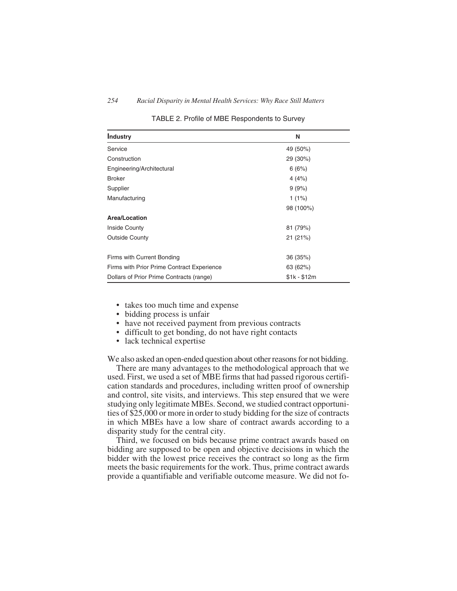| Industry                                   | N            |
|--------------------------------------------|--------------|
| Service                                    | 49 (50%)     |
| Construction                               | 29 (30%)     |
| Engineering/Architectural                  | 6(6%)        |
| <b>Broker</b>                              | 4(4%)        |
| Supplier                                   | 9(9%)        |
| Manufacturing                              | $1(1\%)$     |
|                                            | 98 (100%)    |
| <b>Area/Location</b>                       |              |
| <b>Inside County</b>                       | 81 (79%)     |
| <b>Outside County</b>                      | 21(21%)      |
| Firms with Current Bonding                 | 36 (35%)     |
| Firms with Prior Prime Contract Experience | 63 (62%)     |
| Dollars of Prior Prime Contracts (range)   | $$1k - $12m$ |

TABLE 2. Profile of MBE Respondents to Survey

- takes too much time and expense
- bidding process is unfair
- have not received payment from previous contracts
- difficult to get bonding, do not have right contacts
- lack technical expertise

We also asked an open-ended question about other reasons for not bidding.

There are many advantages to the methodological approach that we used. First, we used a set of MBE firms that had passed rigorous certification standards and procedures, including written proof of ownership and control, site visits, and interviews. This step ensured that we were studying only legitimate MBEs. Second, we studied contract opportunities of \$25,000 or more in order to study bidding for the size of contracts in which MBEs have a low share of contract awards according to a disparity study for the central city.

Third, we focused on bids because prime contract awards based on bidding are supposed to be open and objective decisions in which the bidder with the lowest price receives the contract so long as the firm meets the basic requirements for the work. Thus, prime contract awards provide a quantifiable and verifiable outcome measure. We did not fo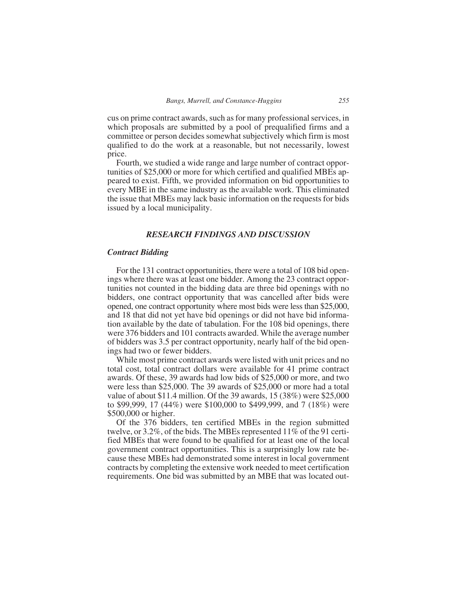cus on prime contract awards, such as for many professional services, in which proposals are submitted by a pool of prequalified firms and a committee or person decides somewhat subjectively which firm is most qualified to do the work at a reasonable, but not necessarily, lowest price.

Fourth, we studied a wide range and large number of contract opportunities of \$25,000 or more for which certified and qualified MBEs appeared to exist. Fifth, we provided information on bid opportunities to every MBE in the same industry as the available work. This eliminated the issue that MBEs may lack basic information on the requests for bids issued by a local municipality.

#### *RESEARCH FINDINGS AND DISCUSSION*

#### *Contract Bidding*

For the 131 contract opportunities, there were a total of 108 bid openings where there was at least one bidder. Among the 23 contract opportunities not counted in the bidding data are three bid openings with no bidders, one contract opportunity that was cancelled after bids were opened, one contract opportunity where most bids were less than \$25,000, and 18 that did not yet have bid openings or did not have bid information available by the date of tabulation. For the 108 bid openings, there were 376 bidders and 101 contracts awarded. While the average number of bidders was 3.5 per contract opportunity, nearly half of the bid openings had two or fewer bidders.

While most prime contract awards were listed with unit prices and no total cost, total contract dollars were available for 41 prime contract awards. Of these, 39 awards had low bids of \$25,000 or more, and two were less than \$25,000. The 39 awards of \$25,000 or more had a total value of about \$11.4 million. Of the 39 awards, 15 (38%) were \$25,000 to \$99,999, 17 (44%) were \$100,000 to \$499,999, and 7 (18%) were \$500,000 or higher.

Of the 376 bidders, ten certified MBEs in the region submitted twelve, or 3.2%, of the bids. The MBEs represented 11% of the 91 certified MBEs that were found to be qualified for at least one of the local government contract opportunities. This is a surprisingly low rate because these MBEs had demonstrated some interest in local government contracts by completing the extensive work needed to meet certification requirements. One bid was submitted by an MBE that was located out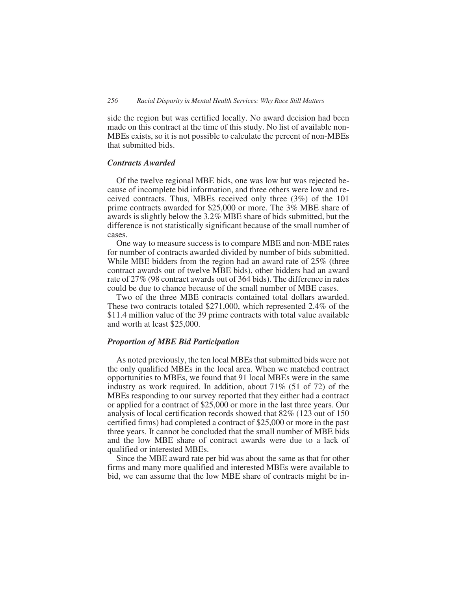side the region but was certified locally. No award decision had been made on this contract at the time of this study. No list of available non-MBEs exists, so it is not possible to calculate the percent of non-MBEs that submitted bids.

#### *Contracts Awarded*

Of the twelve regional MBE bids, one was low but was rejected because of incomplete bid information, and three others were low and received contracts. Thus, MBEs received only three (3%) of the 101 prime contracts awarded for \$25,000 or more. The 3% MBE share of awards is slightly below the 3.2% MBE share of bids submitted, but the difference is not statistically significant because of the small number of cases.

One way to measure success is to compare MBE and non-MBE rates for number of contracts awarded divided by number of bids submitted. While MBE bidders from the region had an award rate of 25% (three contract awards out of twelve MBE bids), other bidders had an award rate of 27% (98 contract awards out of 364 bids). The difference in rates could be due to chance because of the small number of MBE cases.

Two of the three MBE contracts contained total dollars awarded. These two contracts totaled \$271,000, which represented 2.4% of the \$11.4 million value of the 39 prime contracts with total value available and worth at least \$25,000.

#### *Proportion of MBE Bid Participation*

As noted previously, the ten local MBEs that submitted bids were not the only qualified MBEs in the local area. When we matched contract opportunities to MBEs, we found that 91 local MBEs were in the same industry as work required. In addition, about 71% (51 of 72) of the MBEs responding to our survey reported that they either had a contract or applied for a contract of \$25,000 or more in the last three years. Our analysis of local certification records showed that 82% (123 out of 150 certified firms) had completed a contract of \$25,000 or more in the past three years. It cannot be concluded that the small number of MBE bids and the low MBE share of contract awards were due to a lack of qualified or interested MBEs.

Since the MBE award rate per bid was about the same as that for other firms and many more qualified and interested MBEs were available to bid, we can assume that the low MBE share of contracts might be in-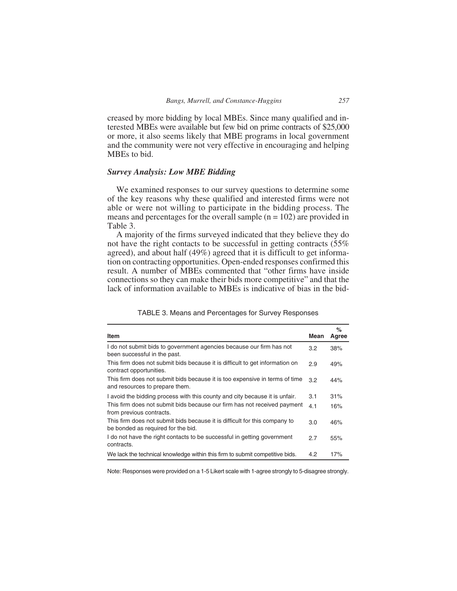creased by more bidding by local MBEs. Since many qualified and interested MBEs were available but few bid on prime contracts of \$25,000 or more, it also seems likely that MBE programs in local government and the community were not very effective in encouraging and helping MBEs to bid.

# *Survey Analysis: Low MBE Bidding*

We examined responses to our survey questions to determine some of the key reasons why these qualified and interested firms were not able or were not willing to participate in the bidding process. The means and percentages for the overall sample  $(n = 102)$  are provided in Table 3.

A majority of the firms surveyed indicated that they believe they do not have the right contacts to be successful in getting contracts (55% agreed), and about half (49%) agreed that it is difficult to get information on contracting opportunities. Open-ended responses confirmed this result. A number of MBEs commented that "other firms have inside connections so they can make their bids more competitive" and that the lack of information available to MBEs is indicative of bias in the bid-

|                                                                                                                  |      | %     |
|------------------------------------------------------------------------------------------------------------------|------|-------|
| <b>Item</b>                                                                                                      | Mean | Agree |
| I do not submit bids to government agencies because our firm has not<br>been successful in the past.             | 3.2  | 38%   |
| This firm does not submit bids because it is difficult to get information on<br>contract opportunities.          | 2.9  | 49%   |
| This firm does not submit bids because it is too expensive in terms of time<br>and resources to prepare them.    | 3.2  | 44%   |
| I avoid the bidding process with this county and city because it is unfair.                                      | 3.1  | 31%   |
| This firm does not submit bids because our firm has not received payment<br>from previous contracts.             | 4.1  | 16%   |
| This firm does not submit bids because it is difficult for this company to<br>be bonded as required for the bid. | 3.0  | 46%   |
| I do not have the right contacts to be successful in getting government<br>contracts.                            | 2.7  | 55%   |
| We lack the technical knowledge within this firm to submit competitive bids.                                     | 4.2  | 17%   |

TABLE 3. Means and Percentages for Survey Responses

Note: Responses were provided on a 1-5 Likert scale with 1-agree strongly to 5-disagree strongly.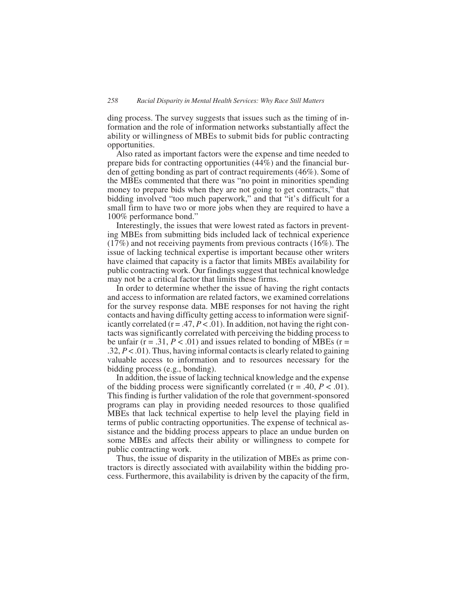ding process. The survey suggests that issues such as the timing of information and the role of information networks substantially affect the ability or willingness of MBEs to submit bids for public contracting opportunities.

Also rated as important factors were the expense and time needed to prepare bids for contracting opportunities (44%) and the financial burden of getting bonding as part of contract requirements (46%). Some of the MBEs commented that there was "no point in minorities spending money to prepare bids when they are not going to get contracts," that bidding involved "too much paperwork," and that "it's difficult for a small firm to have two or more jobs when they are required to have a 100% performance bond."

Interestingly, the issues that were lowest rated as factors in preventing MBEs from submitting bids included lack of technical experience (17%) and not receiving payments from previous contracts (16%). The issue of lacking technical expertise is important because other writers have claimed that capacity is a factor that limits MBEs availability for public contracting work. Our findings suggest that technical knowledge may not be a critical factor that limits these firms.

In order to determine whether the issue of having the right contacts and access to information are related factors, we examined correlations for the survey response data. MBE responses for not having the right contacts and having difficulty getting access to information were significantly correlated  $(r = .47, P < .01)$ . In addition, not having the right contacts was significantly correlated with perceiving the bidding process to be unfair  $(r = .31, P < .01)$  and issues related to bonding of MBEs  $(r = .01)$ .32, *P* < .01). Thus, having informal contacts is clearly related to gaining valuable access to information and to resources necessary for the bidding process (e.g., bonding).

In addition, the issue of lacking technical knowledge and the expense of the bidding process were significantly correlated  $(r = .40, P < .01)$ . This finding is further validation of the role that government-sponsored programs can play in providing needed resources to those qualified MBEs that lack technical expertise to help level the playing field in terms of public contracting opportunities. The expense of technical assistance and the bidding process appears to place an undue burden on some MBEs and affects their ability or willingness to compete for public contracting work.

Thus, the issue of disparity in the utilization of MBEs as prime contractors is directly associated with availability within the bidding process. Furthermore, this availability is driven by the capacity of the firm,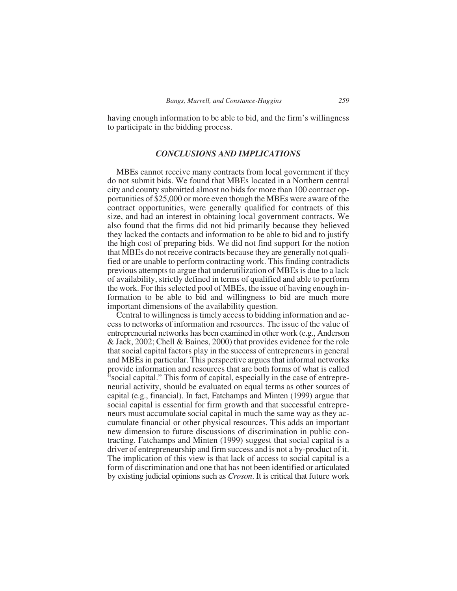having enough information to be able to bid, and the firm's willingness to participate in the bidding process.

## *CONCLUSIONS AND IMPLICATIONS*

MBEs cannot receive many contracts from local government if they do not submit bids. We found that MBEs located in a Northern central city and county submitted almost no bids for more than 100 contract opportunities of \$25,000 or more even though the MBEs were aware of the contract opportunities, were generally qualified for contracts of this size, and had an interest in obtaining local government contracts. We also found that the firms did not bid primarily because they believed they lacked the contacts and information to be able to bid and to justify the high cost of preparing bids. We did not find support for the notion that MBEs do not receive contracts because they are generally not qualified or are unable to perform contracting work. This finding contradicts previous attempts to argue that underutilization of MBEs is due to a lack of availability, strictly defined in terms of qualified and able to perform the work. For this selected pool of MBEs, the issue of having enough information to be able to bid and willingness to bid are much more important dimensions of the availability question.

Central to willingness is timely access to bidding information and access to networks of information and resources. The issue of the value of entrepreneurial networks has been examined in other work (e.g., Anderson & Jack, 2002; Chell & Baines, 2000) that provides evidence for the role that social capital factors play in the success of entrepreneurs in general and MBEs in particular. This perspective argues that informal networks provide information and resources that are both forms of what is called "social capital." This form of capital, especially in the case of entrepreneurial activity, should be evaluated on equal terms as other sources of capital (e.g., financial). In fact, Fatchamps and Minten (1999) argue that social capital is essential for firm growth and that successful entrepreneurs must accumulate social capital in much the same way as they accumulate financial or other physical resources. This adds an important new dimension to future discussions of discrimination in public contracting. Fatchamps and Minten (1999) suggest that social capital is a driver of entrepreneurship and firm success and is not a by-product of it. The implication of this view is that lack of access to social capital is a form of discrimination and one that has not been identified or articulated by existing judicial opinions such as *Croson*. It is critical that future work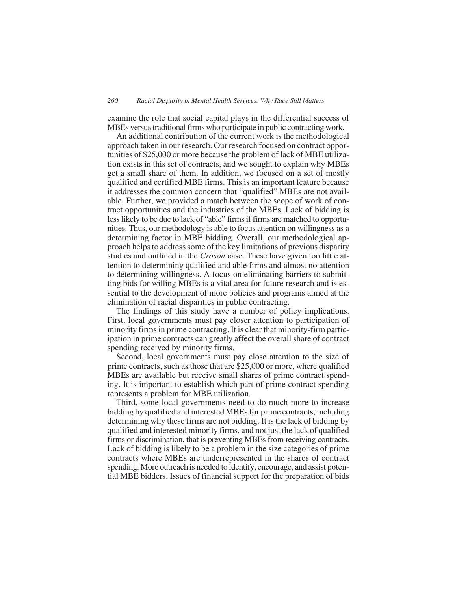examine the role that social capital plays in the differential success of MBEs versus traditional firms who participate in public contracting work.

An additional contribution of the current work is the methodological approach taken in our research. Our research focused on contract opportunities of \$25,000 or more because the problem of lack of MBE utilization exists in this set of contracts, and we sought to explain why MBEs get a small share of them. In addition, we focused on a set of mostly qualified and certified MBE firms. This is an important feature because it addresses the common concern that "qualified" MBEs are not available. Further, we provided a match between the scope of work of contract opportunities and the industries of the MBEs. Lack of bidding is less likely to be due to lack of "able" firms if firms are matched to opportunities. Thus, our methodology is able to focus attention on willingness as a determining factor in MBE bidding. Overall, our methodological approach helps to address some of the key limitations of previous disparity studies and outlined in the *Croson* case. These have given too little attention to determining qualified and able firms and almost no attention to determining willingness. A focus on eliminating barriers to submitting bids for willing MBEs is a vital area for future research and is essential to the development of more policies and programs aimed at the elimination of racial disparities in public contracting.

The findings of this study have a number of policy implications. First, local governments must pay closer attention to participation of minority firms in prime contracting. It is clear that minority-firm participation in prime contracts can greatly affect the overall share of contract spending received by minority firms.

Second, local governments must pay close attention to the size of prime contracts, such as those that are \$25,000 or more, where qualified MBEs are available but receive small shares of prime contract spending. It is important to establish which part of prime contract spending represents a problem for MBE utilization.

Third, some local governments need to do much more to increase bidding by qualified and interested MBEs for prime contracts, including determining why these firms are not bidding. It is the lack of bidding by qualified and interested minority firms, and not just the lack of qualified firms or discrimination, that is preventing MBEs from receiving contracts. Lack of bidding is likely to be a problem in the size categories of prime contracts where MBEs are underrepresented in the shares of contract spending. More outreach is needed to identify, encourage, and assist potential MBE bidders. Issues of financial support for the preparation of bids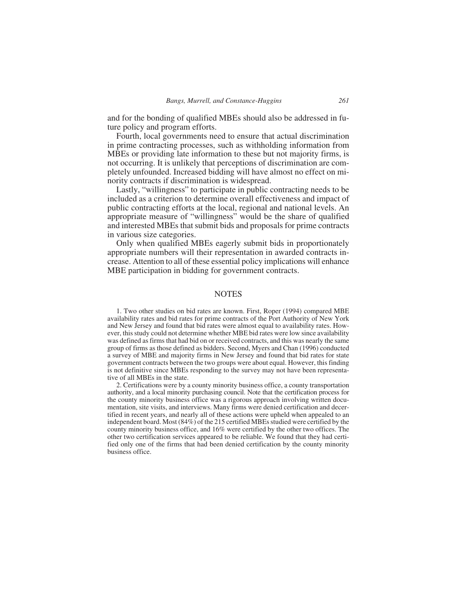and for the bonding of qualified MBEs should also be addressed in future policy and program efforts.

Fourth, local governments need to ensure that actual discrimination in prime contracting processes, such as withholding information from MBEs or providing late information to these but not majority firms, is not occurring. It is unlikely that perceptions of discrimination are completely unfounded. Increased bidding will have almost no effect on minority contracts if discrimination is widespread.

Lastly, "willingness" to participate in public contracting needs to be included as a criterion to determine overall effectiveness and impact of public contracting efforts at the local, regional and national levels. An appropriate measure of "willingness" would be the share of qualified and interested MBEs that submit bids and proposals for prime contracts in various size categories.

Only when qualified MBEs eagerly submit bids in proportionately appropriate numbers will their representation in awarded contracts increase. Attention to all of these essential policy implications will enhance MBE participation in bidding for government contracts.

#### **NOTES**

1. Two other studies on bid rates are known. First, Roper (1994) compared MBE availability rates and bid rates for prime contracts of the Port Authority of New York and New Jersey and found that bid rates were almost equal to availability rates. However, this study could not determine whether MBE bid rates were low since availability was defined as firms that had bid on or received contracts, and this was nearly the same group of firms as those defined as bidders. Second, Myers and Chan (1996) conducted a survey of MBE and majority firms in New Jersey and found that bid rates for state government contracts between the two groups were about equal. However, this finding is not definitive since MBEs responding to the survey may not have been representative of all MBEs in the state.

2. Certifications were by a county minority business office, a county transportation authority, and a local minority purchasing council. Note that the certification process for the county minority business office was a rigorous approach involving written documentation, site visits, and interviews. Many firms were denied certification and decertified in recent years, and nearly all of these actions were upheld when appealed to an independent board. Most (84%) of the 215 certified MBEs studied were certified by the county minority business office, and 16% were certified by the other two offices. The other two certification services appeared to be reliable. We found that they had certified only one of the firms that had been denied certification by the county minority business office.